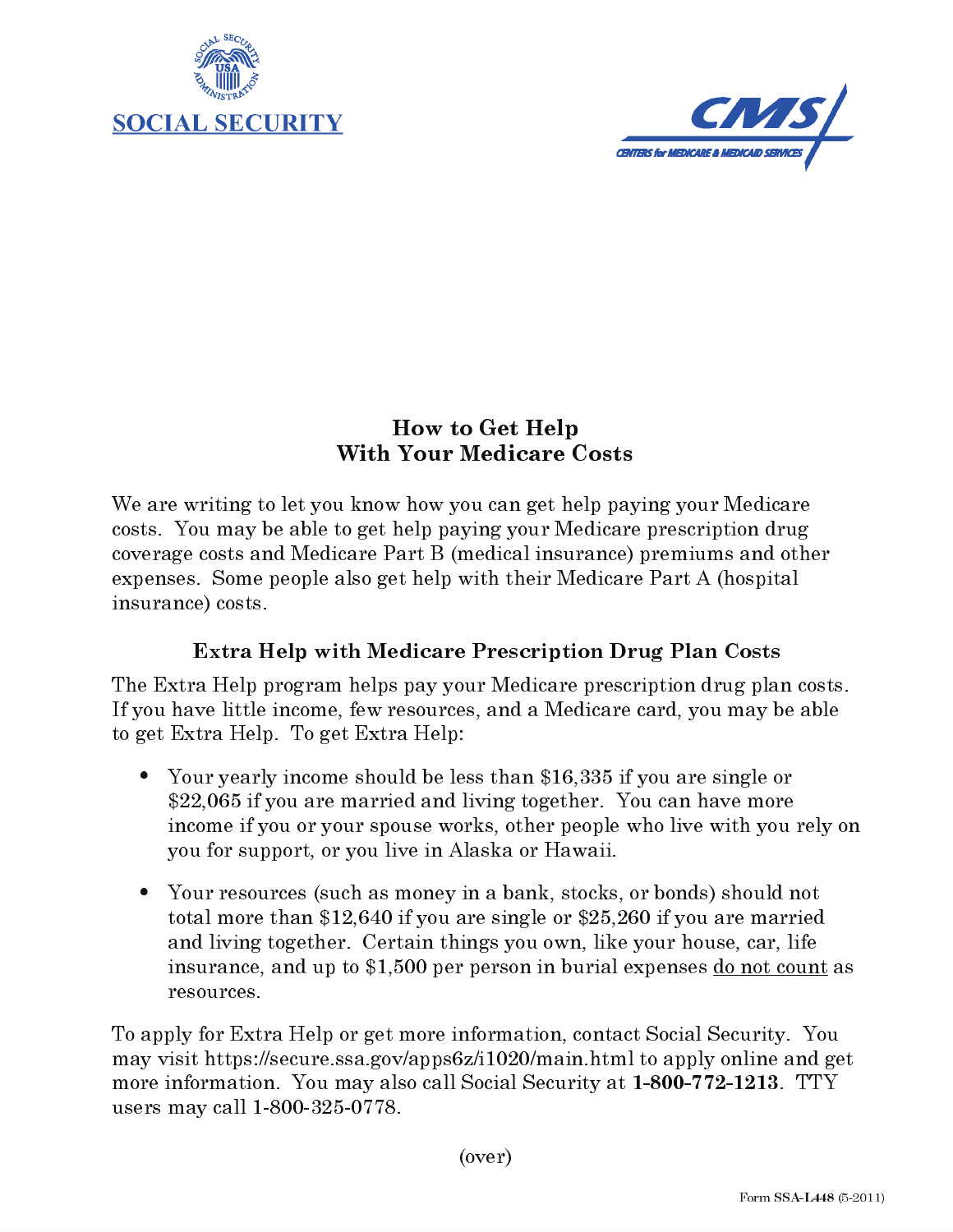



## How to Get Help **With Your Medicare Costs**

We are writing to let you know how you can get help paying your Medicare costs. You may be able to get help paying your Medicare prescription drug coverage costs and Medicare Part B (medical insurance) premiums and other expenses. Some people also get help with their Medicare Part A (hospital insurance) costs.

## **Extra Help with Medicare Prescription Drug Plan Costs**

The Extra Help program helps pay your Medicare prescription drug plan costs. If you have little income, few resources, and a Medicare card, you may be able to get Extra Help. To get Extra Help:

- Your yearly income should be less than \$16,335 if you are single or \$22,065 if you are married and living together. You can have more income if you or your spouse works, other people who live with you rely on you for support, or you live in Alaska or Hawaii.
- Your resources (such as money in a bank, stocks, or bonds) should not total more than \$12,640 if you are single or \$25,260 if you are married and living together. Certain things you own, like your house, car, life insurance, and up to \$1,500 per person in burial expenses do not count as resources.

To apply for Extra Help or get more information, contact Social Security. You may visit https://secure.ssa.gov/apps6z/i1020/main.html to apply online and get more information. You may also call Social Security at 1-800-772-1213. TTY users may call 1-800-325-0778.